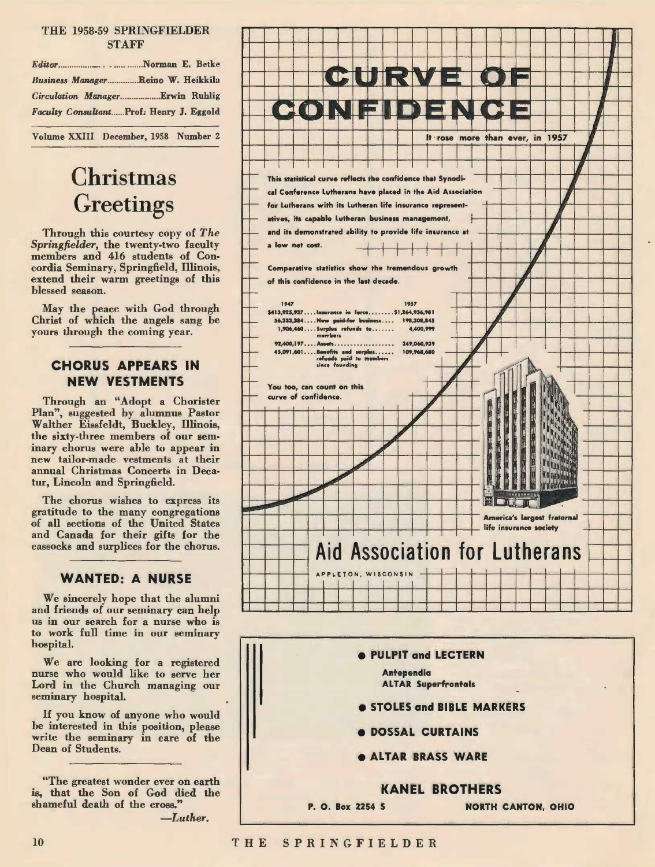#### THE 1958-59 SPRINGFIELDER **STAFF**

| Business ManagerReino W. Heikkila       |
|-----------------------------------------|
|                                         |
| Faculty ConsultantProf: Henry J. Eggold |
|                                         |

Volume XXIII December, 1958 Number 2

# **Christmas Greetings**

Through this courtesy copy of The Springfielder, the twenty-two faculty members and 416 students of Concordia Seminary, Springfield, Illinois, extend their warm greetings of this blessed season.

May the peace with God through Christ of which the angels sang be yours through the coming year.

#### **CHORUS APPEARS IN NEW VESTMENTS**

Through an "Adopt a Chorister Plan", suggested by alumnus Pastor Walther Eissfeldt, Buckley, Illinois, the sixty-three members of our seminary chorus were able to appear in new tailor-made vestments at their annual Christmas Concerts in Decatur, Lincoln and Springfield.

The chorus wishes to express its gratitude to the many congregations of all sections of the United States and Canada for their gifts for the cassocks and surplices for the chorus.

#### **WANTED: A NURSE**

We sincerely hope that the alumni and friends of our seminary can help us in our search for a nurse who is to work full time in our seminary hospital.

We are looking for a registered nurse who would like to serve her Lord in the Church managing our seminary hospital.

If you know of anyone who would be interested in this position, please write the seminary in care of the Dean of Students.

"The greatest wonder ever on earth is, that the Son of God died the shameful death of the cross."  $-Luther.$ 



- **DOSSAL CURTAINS**
- **ALTAR BRASS WARE**



#### THE SPRINGFIELDER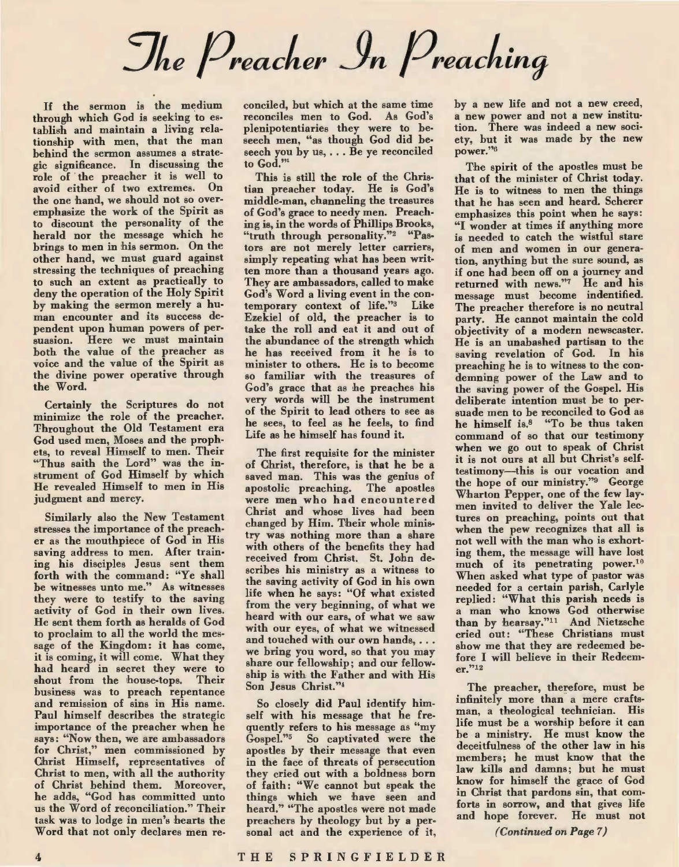The Preacher In Preaching

If the sermon is the medium through which God is seeking to establish and maintain a living relationship with men, that the man behind the sermon assumes a strategic significance, In discussing the role of'the preacher it is well to avoid either of two extremes. On the one hand, we should not so overemphasize the work of the Spirit as to discount the personality of the herald nor the message which he brings to men in his sermon. On the other hand, we must guard against stressing the techniques of preaching to such an extent as practically to deny the operation of the Holy Spirit by making the sermon merely a human encounter and its success dependent upon human powers of persuasion. Here we must maintain both the value of the preacher as voice and the value of the Spirit as the divine power operative through the Word.

Certainly the Scriptures do not minimize the role of the preacher. Throughout the Old Testament era God used men, Moses and the prophets, to reveal Himself to men. Their "Thus saith the Lord" was the instrument of God Himself by which He revealed Himself to men in His judgment and mercy.

Similarly also the New Testament stresses the importance of the preacher as the mouthpiece of God in His saving address to men. After training his disciples Jesus sent them forth with the command: "Ye shall be witnesses unto me." As witnesses they were to testify to the saving activity of God in their own lives. He sent them forth as heralds of God to proclaim to all the world the message of the Kingdom: it has come, it is coming, it will come. What they had heard in secret they were to shout from the house-tops. Their business was to preach repentance and remission of sins in His name. Paul himself describes the strategic importance of the preacher when he says: "Now then, we are ambassadors for Christ," men commissioned by Christ Himself, representatives of Christ to men, with all the authority of Christ behind them. Moreover, he adds, "God has committed unto us the Word of reconciliation." Their task was to lodge in men's hearts the Word that not only declares men reconciled, but which at the same time reconciles men to God. As God's plenipotentiaries they were to beseech men, "as though God did beseech you by us, ... Be ye reconciled to God."

This is still the role of the Christian preacher today. He is God's middle-man, channeling the treasures of God's grace to needy men. Preaching is, in the words of Phillips Brooks, "truth through personality."2 "Pastors are not merely letter carriers, simply repeating what has been written more than a thousand years ago. They are ambassadors, called to make God's Word a living event in the contemporary context of life."3 Like Ezekiel of old, the preacher is to take the roll and eat it and out of the abundance of the strength which he has received from it he is to minister to others. He is to become so familiar with the treasures of God's grace that as he preaches his very words will be the instrument of the Spirit to lead others to see as he sees, to feel as he feels, to find Life as he himself has found it.

The first requisite for the minister of Christ, therefore, is that he be a saved man. This was the genius of apostolic preaching. The apostles were men who had encountered Christ and whose lives had been changed by Him. Their whole ministry was nothing more than a share with others of the benefits they had received from Christ, St, John describes his ministry as a witness to the saving activity of God in his own life when he says: "Of what existed from the very beginning, of what we heard with our ears, of what we saw with our eyes, of what we witnessed and touched with our own hands, ... we bring you word, so that you may share our fellowship; and our fellowship is with the Father and with His Son Jesus Christ."4

So closely did Paul identify himself with his message that he frequently refers to his message as "my Gospel."0 So captivated were the apostles by their message that even in the face of threats of persecution they cried out with a boldness born of faith: "We cannot but speak the things which we have seen and heard." "The apostles were not made preachers by theology but by a personal act and the experience of it,

by a new life and not a new creed, a new power and not a new institution. There was indeed a new soci ety, but it was made by the new power."<sup>6</sup>

The spirit of the apostles must be that of the minister of Christ today. He. 1s to witness to men the things that he has seen and heard. Scherer emphasizes this point when he says: "I wonder at times if anything more is needed to catch the wistful stare of men and women in our generation, anything but the sure sound, as if one had been off on a journey and returned with news."7 He and his message must become indentified. The preacher therefore is no neutral party. He cannot maintain the cold objectivity of a modern newscaster. He is an unabashed partisan to the saving revelation of God. In his preaching he is to witness to the condemning power of the Law and to the saving power of the Gospel. His deliberate intention must be to per suade men to be reconciled to God as he himself is,8 "To be thus taken command of so that our testimony when we go out to speak of Christ it is not ours at all but Christ's self testimony-this is our vocation and the hope of our ministry."9 George Wharton Pepper, one of the few laymen invited to deliver the Yale lectures on preaching, points out that when the pew recognizes that all is not well with the man who is exhort ing them, the message will have lost much of its penetrating power.10 When asked what type of pastor was needed for a certain parish, Carlyle replied: "What this parish needs is a man who knows God otherwise than by hearsay."11 And Nietzsche cried out: "These Christians must show me that they are redeemed before I will believe in their Redeemer."12

The preacher, therefore, must be infinitely more than a mere craftsman, a theological technician. His life must be a worship before it can be a ministry. He must know the deceitfulness of the other law in his members; he must know that the law kills and damns; but he must know for himself the grace of God in Christ that pardons sin, that comforts in sorrow, and that gives life and hope forever. He must not

(Continued on Page 7)